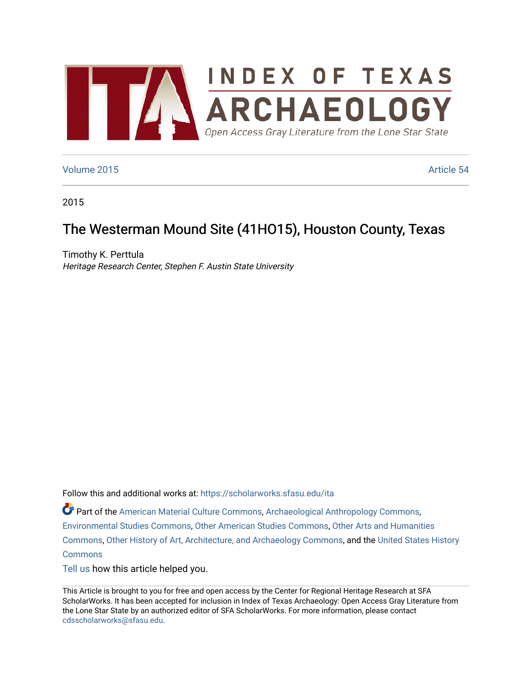

### [Volume 2015](https://scholarworks.sfasu.edu/ita/vol2015) **Article 54**

2015

# The Westerman Mound Site (41HO15), Houston County, Texas

Timothy K. Perttula Heritage Research Center, Stephen F. Austin State University

Follow this and additional works at: [https://scholarworks.sfasu.edu/ita](https://scholarworks.sfasu.edu/ita?utm_source=scholarworks.sfasu.edu%2Fita%2Fvol2015%2Fiss1%2F54&utm_medium=PDF&utm_campaign=PDFCoverPages) 

Part of the [American Material Culture Commons,](http://network.bepress.com/hgg/discipline/442?utm_source=scholarworks.sfasu.edu%2Fita%2Fvol2015%2Fiss1%2F54&utm_medium=PDF&utm_campaign=PDFCoverPages) [Archaeological Anthropology Commons,](http://network.bepress.com/hgg/discipline/319?utm_source=scholarworks.sfasu.edu%2Fita%2Fvol2015%2Fiss1%2F54&utm_medium=PDF&utm_campaign=PDFCoverPages) [Environmental Studies Commons,](http://network.bepress.com/hgg/discipline/1333?utm_source=scholarworks.sfasu.edu%2Fita%2Fvol2015%2Fiss1%2F54&utm_medium=PDF&utm_campaign=PDFCoverPages) [Other American Studies Commons](http://network.bepress.com/hgg/discipline/445?utm_source=scholarworks.sfasu.edu%2Fita%2Fvol2015%2Fiss1%2F54&utm_medium=PDF&utm_campaign=PDFCoverPages), [Other Arts and Humanities](http://network.bepress.com/hgg/discipline/577?utm_source=scholarworks.sfasu.edu%2Fita%2Fvol2015%2Fiss1%2F54&utm_medium=PDF&utm_campaign=PDFCoverPages) [Commons](http://network.bepress.com/hgg/discipline/577?utm_source=scholarworks.sfasu.edu%2Fita%2Fvol2015%2Fiss1%2F54&utm_medium=PDF&utm_campaign=PDFCoverPages), [Other History of Art, Architecture, and Archaeology Commons,](http://network.bepress.com/hgg/discipline/517?utm_source=scholarworks.sfasu.edu%2Fita%2Fvol2015%2Fiss1%2F54&utm_medium=PDF&utm_campaign=PDFCoverPages) and the [United States History](http://network.bepress.com/hgg/discipline/495?utm_source=scholarworks.sfasu.edu%2Fita%2Fvol2015%2Fiss1%2F54&utm_medium=PDF&utm_campaign=PDFCoverPages)  **[Commons](http://network.bepress.com/hgg/discipline/495?utm_source=scholarworks.sfasu.edu%2Fita%2Fvol2015%2Fiss1%2F54&utm_medium=PDF&utm_campaign=PDFCoverPages)** 

[Tell us](http://sfasu.qualtrics.com/SE/?SID=SV_0qS6tdXftDLradv) how this article helped you.

This Article is brought to you for free and open access by the Center for Regional Heritage Research at SFA ScholarWorks. It has been accepted for inclusion in Index of Texas Archaeology: Open Access Gray Literature from the Lone Star State by an authorized editor of SFA ScholarWorks. For more information, please contact [cdsscholarworks@sfasu.edu.](mailto:cdsscholarworks@sfasu.edu)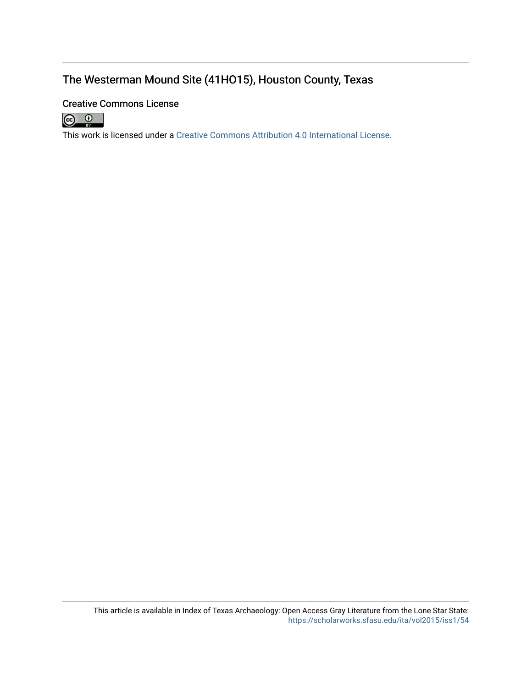## The Westerman Mound Site (41HO15), Houston County, Texas

## Creative Commons License



This work is licensed under a [Creative Commons Attribution 4.0 International License.](https://creativecommons.org/licenses/by/4.0/)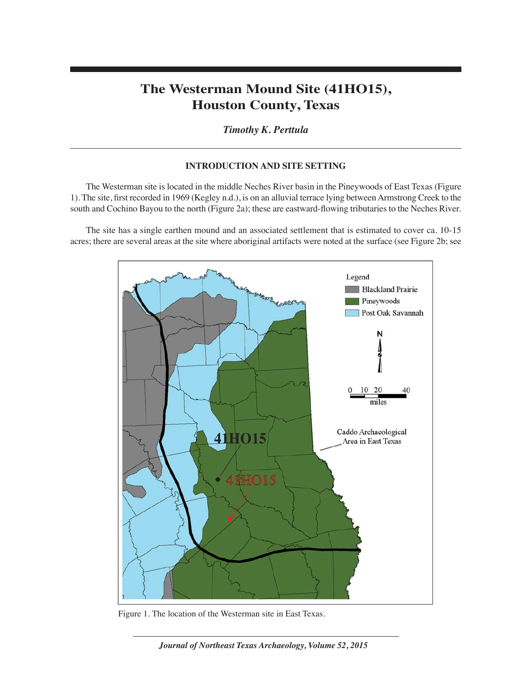## **The Westerman Mound Site (41HO15), Houston County, Texas**

*Timothy K. Perttula*

### **INTRODUCTION AND SITE SETTING**

The Westerman site is located in the middle Neches River basin in the Pineywoods of East Texas (Figure 1). The site, first recorded in 1969 (Kegley n.d.), is on an alluvial terrace lying between Armstrong Creek to the south and Cochino Bayou to the north (Figure 2a); these are eastward-flowing tributaries to the Neches River.

The site has a single earthen mound and an associated settlement that is estimated to cover ca. 10-15 acres; there are several areas at the site where aboriginal artifacts were noted at the surface (see Figure 2b; see



Figure 1. The location of the Westerman site in East Texas.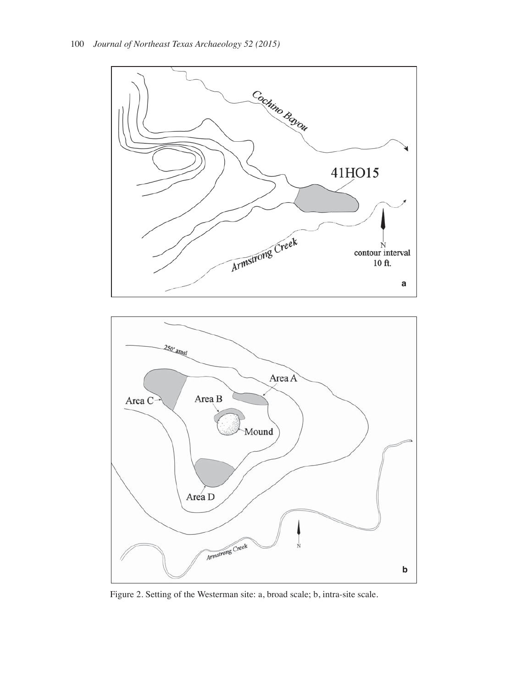



Figure 2. Setting of the Westerman site: a, broad scale; b, intra-site scale.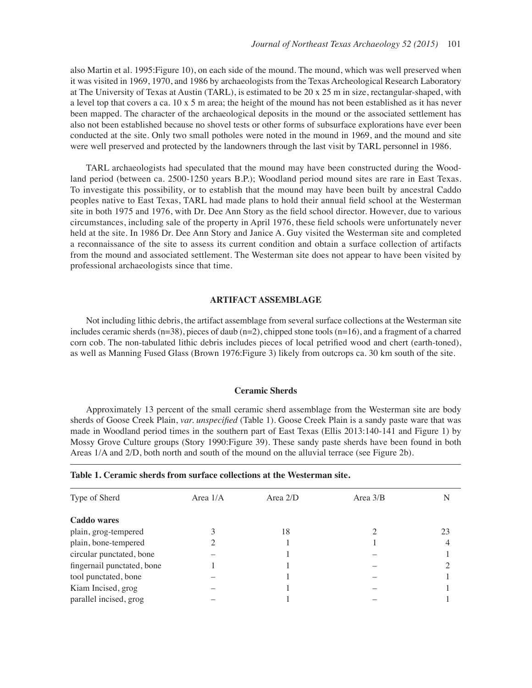also Martin et al. 1995:Figure 10), on each side of the mound. The mound, which was well preserved when it was visited in 1969, 1970, and 1986 by archaeologists from the Texas Archeological Research Laboratory at The University of Texas at Austin (TARL), is estimated to be 20 x 25 m in size, rectangular-shaped, with a level top that covers a ca. 10 x 5 m area; the height of the mound has not been established as it has never been mapped. The character of the archaeological deposits in the mound or the associated settlement has also not been established because no shovel tests or other forms of subsurface explorations have ever been conducted at the site. Only two small potholes were noted in the mound in 1969, and the mound and site were well preserved and protected by the landowners through the last visit by TARL personnel in 1986.

TARL archaeologists had speculated that the mound may have been constructed during the Woodland period (between ca. 2500-1250 years B.P.); Woodland period mound sites are rare in East Texas. To investigate this possibility, or to establish that the mound may have been built by ancestral Caddo peoples native to East Texas, TARL had made plans to hold their annual field school at the Westerman site in both 1975 and 1976, with Dr. Dee Ann Story as the field school director. However, due to various circumstances, including sale of the property in April 1976, these field schools were unfortunately never held at the site. In 1986 Dr. Dee Ann Story and Janice A. Guy visited the Westerman site and completed a reconnaissance of the site to assess its current condition and obtain a surface collection of artifacts from the mound and associated settlement. The Westerman site does not appear to have been visited by professional archaeologists since that time.

#### **ARTIFACT ASSEMBLAGE**

Not including lithic debris, the artifact assemblage from several surface collections at the Westerman site includes ceramic sherds  $(n=38)$ , pieces of daub  $(n=2)$ , chipped stone tools  $(n=16)$ , and a fragment of a charred corn cob. The non-tabulated lithic debris includes pieces of local petrified wood and chert (earth-toned), as well as Manning Fused Glass (Brown 1976:Figure 3) likely from outcrops ca. 30 km south of the site.

#### **Ceramic Sherds**

Approximately 13 percent of the small ceramic sherd assemblage from the Westerman site are body sherds of Goose Creek Plain, *var. unspecified* (Table 1). Goose Creek Plain is a sandy paste ware that was made in Woodland period times in the southern part of East Texas (Ellis 2013:140-141 and Figure 1) by Mossy Grove Culture groups (Story 1990:Figure 39). These sandy paste sherds have been found in both Areas 1/A and 2/D, both north and south of the mound on the alluvial terrace (see Figure 2b).

|  |  |  |  |  |  |  |  |  | Table 1. Ceramic sherds from surface collections at the Westerman site. |  |
|--|--|--|--|--|--|--|--|--|-------------------------------------------------------------------------|--|
|--|--|--|--|--|--|--|--|--|-------------------------------------------------------------------------|--|

| Type of Sherd              | Area $1/A$ | Area $2/D$ | Area $3/B$ |    |
|----------------------------|------------|------------|------------|----|
| Caddo wares                |            |            |            |    |
| plain, grog-tempered       |            | 18         |            | 23 |
| plain, bone-tempered       |            |            |            |    |
| circular punctated, bone   |            |            |            |    |
| fingernail punctated, bone |            |            |            |    |
| tool punctated, bone       |            |            |            |    |
| Kiam Incised, grog         |            |            |            |    |
| parallel incised, grog     |            |            |            |    |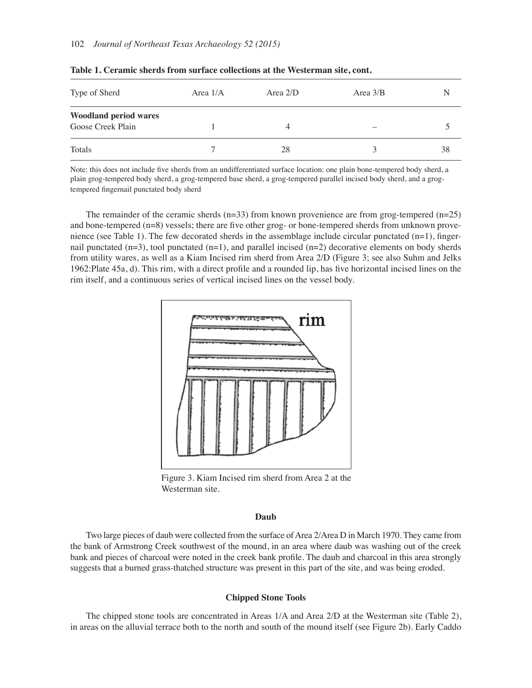| Type of Sherd                                     | Area $1/A$ | Area $2/D$ | Area $3/B$ | N  |
|---------------------------------------------------|------------|------------|------------|----|
| <b>Woodland period wares</b><br>Goose Creek Plain |            |            | -          |    |
| Totals                                            |            | 28         |            | 38 |

|  |  |  |  |  |  | Table 1. Ceramic sherds from surface collections at the Westerman site, cont. |  |
|--|--|--|--|--|--|-------------------------------------------------------------------------------|--|
|--|--|--|--|--|--|-------------------------------------------------------------------------------|--|

Note: this does not include five sherds from an undifferentiated surface location: one plain bone-tempered body sherd, a plain grog-tempered body sherd, a grog-tempered base sherd, a grog-tempered parallel incised body sherd, and a grogtempered fingernail punctated body sherd

The remainder of the ceramic sherds  $(n=33)$  from known provenience are from grog-tempered  $(n=25)$ and bone-tempered  $(n=8)$  vessels; there are five other grog- or bone-tempered sherds from unknown provenience (see Table 1). The few decorated sherds in the assemblage include circular punctated  $(n=1)$ , fingernail punctated  $(n=3)$ , tool punctated  $(n=1)$ , and parallel incised  $(n=2)$  decorative elements on body sherds from utility wares, as well as a Kiam Incised rim sherd from Area 2/D (Figure 3; see also Suhm and Jelks 1962: Plate 45a, d). This rim, with a direct profile and a rounded lip, has five horizontal incised lines on the rim itself, and a continuous series of vertical incised lines on the vessel body.



Figure 3. Kiam Incised rim sherd from Area 2 at the Westerman site.

#### **Daub**

Two large pieces of daub were collected from the surface of Area 2/Area D in March 1970. They came from the bank of Armstrong Creek southwest of the mound, in an area where daub was washing out of the creek bank and pieces of charcoal were noted in the creek bank profile. The daub and charcoal in this area strongly suggests that a burned grass-thatched structure was present in this part of the site, and was being eroded.

#### **Chipped Stone Tools**

The chipped stone tools are concentrated in Areas 1/A and Area 2/D at the Westerman site (Table 2), in areas on the alluvial terrace both to the north and south of the mound itself (see Figure 2b). Early Caddo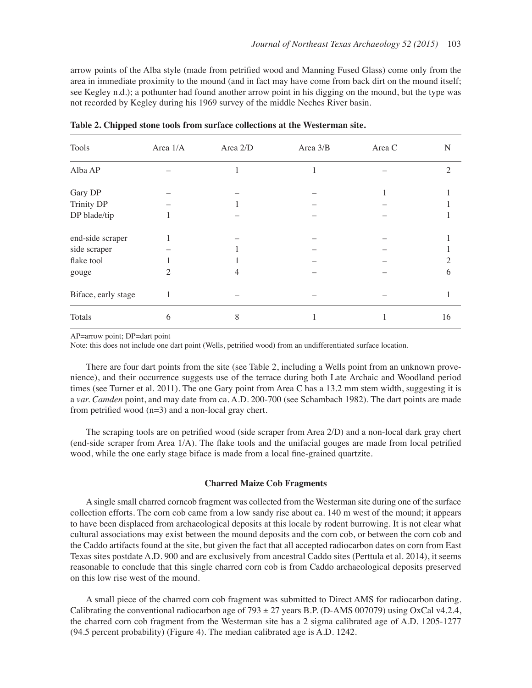arrow points of the Alba style (made from petrified wood and Manning Fused Glass) come only from the area in immediate proximity to the mound (and in fact may have come from back dirt on the mound itself; see Kegley n.d.); a pothunter had found another arrow point in his digging on the mound, but the type was not recorded by Kegley during his 1969 survey of the middle Neches River basin.

| Tools               | Area 1/A | Area 2/D | Area $3/B$ | Area C | N              |
|---------------------|----------|----------|------------|--------|----------------|
| Alba AP             |          |          |            |        | $\overline{2}$ |
| Gary DP             |          |          |            |        |                |
| <b>Trinity DP</b>   |          |          |            |        |                |
| DP blade/tip        |          |          |            |        |                |
| end-side scraper    |          |          |            |        |                |
| side scraper        |          |          |            |        |                |
| flake tool          |          |          |            |        | 2              |
| gouge               | 2        |          |            |        | 6              |
| Biface, early stage |          |          |            |        |                |
| Totals              | 6        | 8        |            |        | 16             |

**Table 2. Chipped stone tools from surface collections at the Westerman site.**

AP=arrow point; DP=dart point

Note: this does not include one dart point (Wells, petrified wood) from an undifferentiated surface location.

There are four dart points from the site (see Table 2, including a Wells point from an unknown provenience), and their occurrence suggests use of the terrace during both Late Archaic and Woodland period times (see Turner et al. 2011). The one Gary point from Area C has a 13.2 mm stem width, suggesting it is a *var. Camden* point, and may date from ca. A.D. 200-700 (see Schambach 1982). The dart points are made from petrified wood ( $n=3$ ) and a non-local gray chert.

The scraping tools are on petrified wood (side scraper from Area  $2/D$ ) and a non-local dark gray chert (end-side scraper from Area  $1/A$ ). The flake tools and the unifacial gouges are made from local petrified wood, while the one early stage biface is made from a local fine-grained quartzite.

#### **Charred Maize Cob Fragments**

A single small charred corncob fragment was collected from the Westerman site during one of the surface collection efforts. The corn cob came from a low sandy rise about ca. 140 m west of the mound; it appears to have been displaced from archaeological deposits at this locale by rodent burrowing. It is not clear what cultural associations may exist between the mound deposits and the corn cob, or between the corn cob and the Caddo artifacts found at the site, but given the fact that all accepted radiocarbon dates on corn from East Texas sites postdate A.D. 900 and are exclusively from ancestral Caddo sites (Perttula et al. 2014), it seems reasonable to conclude that this single charred corn cob is from Caddo archaeological deposits preserved on this low rise west of the mound.

A small piece of the charred corn cob fragment was submitted to Direct AMS for radiocarbon dating. Calibrating the conventional radiocarbon age of 793  $\pm$  27 years B.P. (D-AMS 007079) using OxCal v4.2.4, the charred corn cob fragment from the Westerman site has a 2 sigma calibrated age of A.D. 1205-1277 (94.5 percent probability) (Figure 4). The median calibrated age is A.D. 1242.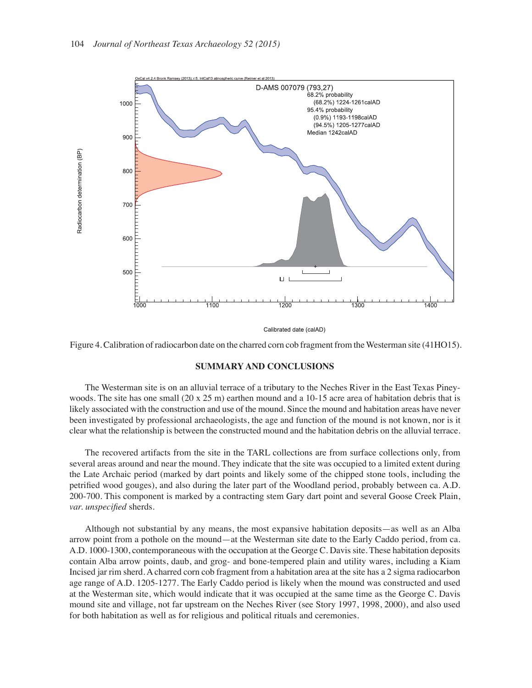

Calibrated date (calAD)



#### **SUMMARY AND CONCLUSIONS**

The Westerman site is on an alluvial terrace of a tributary to the Neches River in the East Texas Pineywoods. The site has one small (20 x 25 m) earthen mound and a 10-15 acre area of habitation debris that is likely associated with the construction and use of the mound. Since the mound and habitation areas have never been investigated by professional archaeologists, the age and function of the mound is not known, nor is it clear what the relationship is between the constructed mound and the habitation debris on the alluvial terrace.

The recovered artifacts from the site in the TARL collections are from surface collections only, from several areas around and near the mound. They indicate that the site was occupied to a limited extent during the Late Archaic period (marked by dart points and likely some of the chipped stone tools, including the petrified wood gouges), and also during the later part of the Woodland period, probably between ca. A.D. 200-700. This component is marked by a contracting stem Gary dart point and several Goose Creek Plain, *var. unspecified* sherds.

Although not substantial by any means, the most expansive habitation deposits—as well as an Alba arrow point from a pothole on the mound—at the Westerman site date to the Early Caddo period, from ca. A.D. 1000-1300, contemporaneous with the occupation at the George C. Davis site. These habitation deposits contain Alba arrow points, daub, and grog- and bone-tempered plain and utility wares, including a Kiam Incised jar rim sherd. A charred corn cob fragment from a habitation area at the site has a 2 sigma radiocarbon age range of A.D. 1205-1277. The Early Caddo period is likely when the mound was constructed and used at the Westerman site, which would indicate that it was occupied at the same time as the George C. Davis mound site and village, not far upstream on the Neches River (see Story 1997, 1998, 2000), and also used for both habitation as well as for religious and political rituals and ceremonies.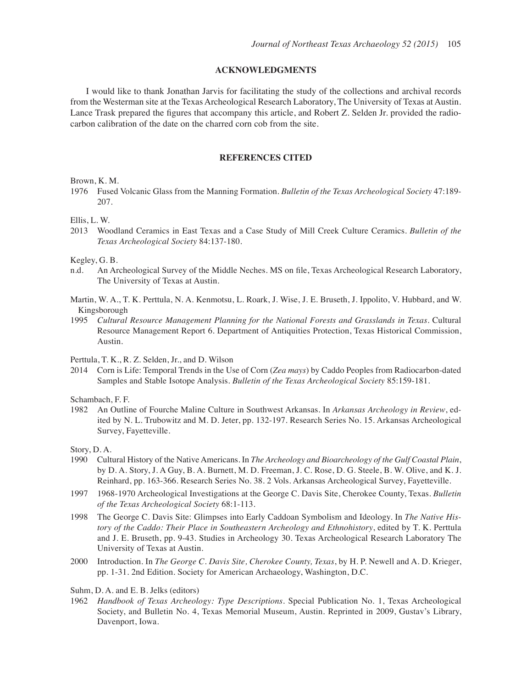#### **ACKNOWLEDGMENTS**

I would like to thank Jonathan Jarvis for facilitating the study of the collections and archival records from the Westerman site at the Texas Archeological Research Laboratory, The University of Texas at Austin. Lance Trask prepared the figures that accompany this article, and Robert Z. Selden Jr. provided the radiocarbon calibration of the date on the charred corn cob from the site.

#### **REFERENCES CITED**

Brown, K. M.

1976 Fused Volcanic Glass from the Manning Formation. *Bulletin of the Texas Archeological Society* 47:189- 207.

Ellis, L. W.

2013 Woodland Ceramics in East Texas and a Case Study of Mill Creek Culture Ceramics. *Bulletin of the Texas Archeological Society* 84:137-180.

Kegley, G. B.

- n.d. An Archeological Survey of the Middle Neches. MS on file, Texas Archeological Research Laboratory, The University of Texas at Austin.
- Martin, W. A., T. K. Perttula, N. A. Kenmotsu, L. Roark, J. Wise, J. E. Bruseth, J. Ippolito, V. Hubbard, and W. Kingsborough
- 1995 *Cultural Resource Management Planning for the National Forests and Grasslands in Texas*. Cultural Resource Management Report 6. Department of Antiquities Protection, Texas Historical Commission, Austin.

Perttula, T. K., R. Z. Selden, Jr., and D. Wilson

2014 Corn is Life: Temporal Trends in the Use of Corn (*Zea mays*) by Caddo Peoples from Radiocarbon-dated Samples and Stable Isotope Analysis. *Bulletin of the Texas Archeological Society* 85:159-181.

Schambach, F. F.

1982 An Outline of Fourche Maline Culture in Southwest Arkansas. In *Arkansas Archeology in Review*, edited by N. L. Trubowitz and M. D. Jeter, pp. 132-197. Research Series No. 15. Arkansas Archeological Survey, Fayetteville.

Story, D. A.

- 1990 Cultural History of the Native Americans. In *The Archeology and Bioarcheology of the Gulf Coastal Plain*, by D. A. Story, J. A Guy, B. A. Burnett, M. D. Freeman, J. C. Rose, D. G. Steele, B. W. Olive, and K. J. Reinhard, pp. 163-366. Research Series No. 38. 2 Vols. Arkansas Archeological Survey, Fayetteville.
- 1997 1968-1970 Archeological Investigations at the George C. Davis Site, Cherokee County, Texas. *Bulletin of the Texas Archeological Society* 68:1-113.
- 1998 The George C. Davis Site: Glimpses into Early Caddoan Symbolism and Ideology. In *The Native History of the Caddo: Their Place in Southeastern Archeology and Ethnohistory*, edited by T. K. Perttula and J. E. Bruseth, pp. 9-43. Studies in Archeology 30. Texas Archeological Research Laboratory The University of Texas at Austin.
- 2000 Introduction. In *The George C. Davis Site, Cherokee County, Texas*, by H. P. Newell and A. D. Krieger, pp. 1-31. 2nd Edition. Society for American Archaeology, Washington, D.C.
- Suhm, D. A. and E. B. Jelks (editors)
- 1962 *Handbook of Texas Archeology: Type Descriptions*. Special Publication No. 1, Texas Archeological Society, and Bulletin No. 4, Texas Memorial Museum, Austin. Reprinted in 2009, Gustav's Library, Davenport, Iowa.